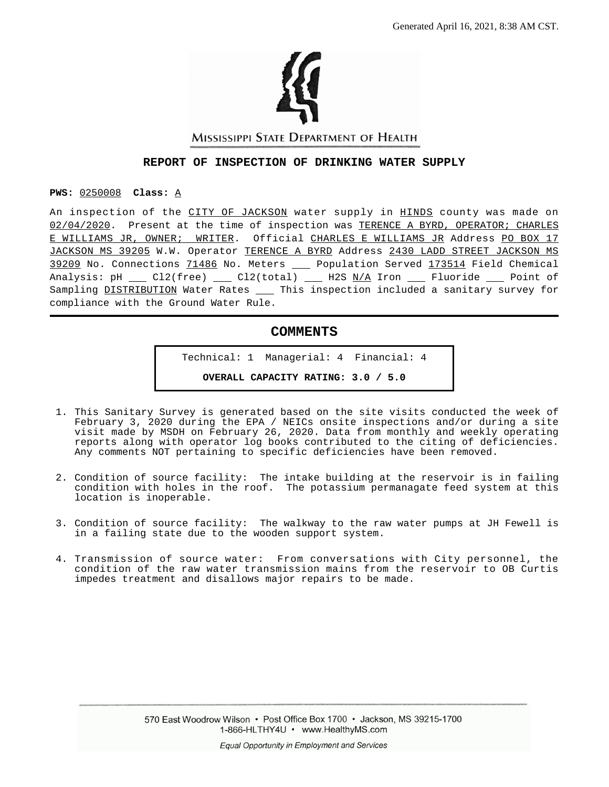

MISSISSIPPI STATE DEPARTMENT OF HEALTH

#### **REPORT OF INSPECTION OF DRINKING WATER SUPPLY**

**PWS:** 0250008 **Class:** A

An inspection of the CITY OF JACKSON water supply in HINDS county was made on 02/04/2020. Present at the time of inspection was TERENCE A BYRD, OPERATOR; CHARLES E WILLIAMS JR, OWNER; WRITER. Official CHARLES E WILLIAMS JR Address PO BOX 17 JACKSON MS 39205 W.W. Operator TERENCE A BYRD Address 2430 LADD STREET JACKSON MS 39209 No. Connections 71486 No. Meters \_\_ Population Served 173514 Field Chemical Analysis: pH  $\_\_$  Cl2(free)  $\_\_$  Cl2(total)  $\_\_$  H2S N/A Iron  $\_\_$  Fluoride  $\_\_$  Point of Sampling DISTRIBUTION Water Rates \_\_\_ This inspection included a sanitary survey for compliance with the Ground Water Rule.

### **COMMENTS**

Technical: 1 Managerial: 4 Financial: 4 **OVERALL CAPACITY RATING: 3.0 / 5.0**

- 1. This Sanitary Survey is generated based on the site visits conducted the week of February 3, 2020 during the EPA / NEICs onsite inspections and/or during a site visit made by MSDH on February 26, 2020. Data from monthly and weekly operating reports along with operator log books contributed to the citing of deficiencies. Any comments NOT pertaining to specific deficiencies have been removed.
- 2. Condition of source facility: The intake building at the reservoir is in failing condition with holes in the roof. The potassium permanagate feed system at this location is inoperable.
- 3. Condition of source facility: The walkway to the raw water pumps at JH Fewell is in a failing state due to the wooden support system.
- 4. Transmission of source water: From conversations with City personnel, the condition of the raw water transmission mains from the reservoir to OB Curtis impedes treatment and disallows major repairs to be made.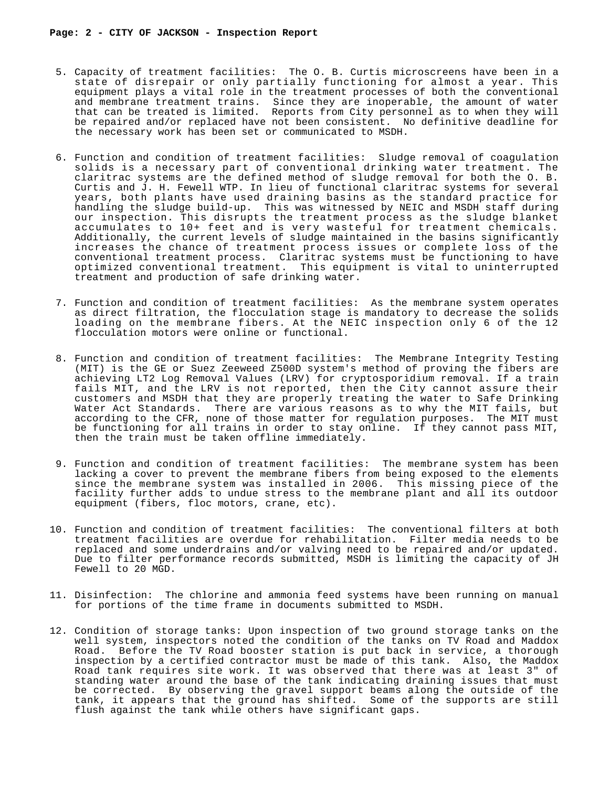- 5. Capacity of treatment facilities: The O. B. Curtis microscreens have been in a state of disrepair or only partially functioning for almost a year. This equipment plays a vital role in the treatment processes of both the conventional and membrane treatment trains. Since they are inoperable, the amount of water that can be treated is limited. Reports from City personnel as to when they will be repaired and/or replaced have not been consistent. No definitive deadline for the necessary work has been set or communicated to MSDH.
- 6. Function and condition of treatment facilities: Sludge removal of coagulation solids is a necessary part of conventional drinking water treatment. The claritrac systems are the defined method of sludge removal for both the O. B. Curtis and  $\overline{J}$ . H. Fewell WTP. In lieu of functional claritrac systems for several years, both plants have used draining basins as the standard practice for handling the sludge build-up. This was witnessed by NEIC and MSDH staff during our inspection. This disrupts the treatment process as the sludge blanket accumulates to 10+ feet and is very wasteful for treatment chemicals. Additionally, the current levels of sludge maintained in the basins significantly increases the chance of treatment process issues or complete loss of the conventional treatment process. Claritrac systems must be functioning to have optimized conventional treatment. This equipment is vital to uninterrupted treatment and production of safe drinking water.
- 7. Function and condition of treatment facilities: As the membrane system operates as direct filtration, the flocculation stage is mandatory to decrease the solids loading on the membrane fibers. At the NEIC inspection only 6 of the 12 flocculation motors were online or functional.
- 8. Function and condition of treatment facilities: The Membrane Integrity Testing (MIT) is the GE or Suez Zeeweed Z500D system's method of proving the fibers are achieving LT2 Log Removal Values (LRV) for cryptosporidium removal. If a train fails MIT, and the LRV is not reported, then the City cannot assure their customers and MSDH that they are properly treating the water to Safe Drinking Water Act Standards. There are various reasons as to why the MIT fails, but according to the CFR, none of those matter for regulation purposes. The MIT must be functioning for all trains in order to stay online. If they cannot pass MIT, then the train must be taken offline immediately.
- 9. Function and condition of treatment facilities: The membrane system has been lacking a cover to prevent the membrane fibers from being exposed to the elements since the membrane system was installed in 2006. This missing piece of the facility further adds to undue stress to the membrane plant and all its outdoor equipment (fibers, floc motors, crane, etc).
- 10. Function and condition of treatment facilities: The conventional filters at both treatment facilities are overdue for rehabilitation. Filter media needs to be replaced and some underdrains and/or valving need to be repaired and/or updated. Due to filter performance records submitted, MSDH is limiting the capacity of JH Fewell to 20 MGD.
- 11. Disinfection: The chlorine and ammonia feed systems have been running on manual for portions of the time frame in documents submitted to MSDH.
- 12. Condition of storage tanks: Upon inspection of two ground storage tanks on the well system, inspectors noted the condition of the tanks on TV Road and Maddox Road. Before the TV Road booster station is put back in service, a thorough inspection by a certified contractor must be made of this tank. Also, the Maddox Road tank requires site work. It was observed that there was at least 3" of standing water around the base of the tank indicating draining issues that must be corrected. By observing the gravel support beams along the outside of the tank, it appears that the ground has shifted. Some of the supports are still flush against the tank while others have significant gaps.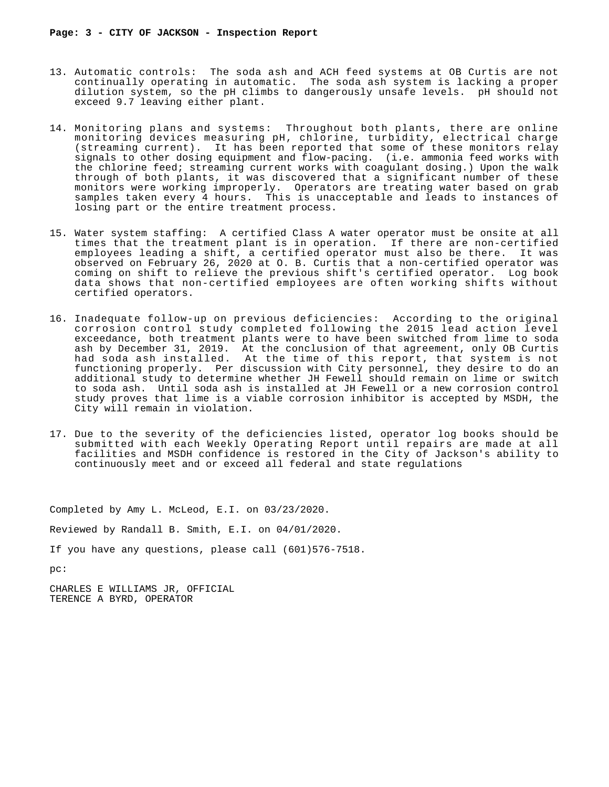- 13. Automatic controls: The soda ash and ACH feed systems at OB Curtis are not continually operating in automatic. The soda ash system is lacking a proper dilution system, so the pH climbs to dangerously unsafe levels. pH should not exceed 9.7 leaving either plant.
- 14. Monitoring plans and systems: Throughout both plants, there are online monitoring devices measuring pH, chlorine, turbidity, electrical charge (streaming current). It has been reported that some of these monitors relay signals to other dosing equipment and flow-pacing. (i.e. ammonia feed works with the chlorine feed; streaming current works with coagulant dosing.) Upon the walk through of both plants, it was discovered that a significant number of these monitors were working improperly. Operators are treating water based on grab samples taken every 4 hours. This is unacceptable and leads to instances of losing part or the entire treatment process.
- 15. Water system staffing: A certified Class A water operator must be onsite at all times that the treatment plant is in operation. If there are non-certified employees leading a shift, a certified operator must also be there. It was observed on February 26, 2020 at O. B. Curtis that a non-certified operator was coming on shift to relieve the previous shift's certified operator. Log book data shows that non-certified employees are often working shifts without certified operators.
- 16. Inadequate follow-up on previous deficiencies: According to the original corrosion control study completed following the 2015 lead action level exceedance, both treatment plants were to have been switched from lime to soda ash by December 31, 2019. At the conclusion of that agreement, only OB Curtis had soda ash installed. At the time of this report, that system is not functioning properly. Per discussion with City personnel, they desire to do an additional study to determine whether JH Fewell should remain on lime or switch to soda ash. Until soda ash is installed at JH Fewell or a new corrosion control study proves that lime is a viable corrosion inhibitor is accepted by MSDH, the City will remain in violation.
- 17. Due to the severity of the deficiencies listed, operator log books should be submitted with each Weekly Operating Report until repairs are made at all facilities and MSDH confidence is restored in the City of Jackson's ability to continuously meet and or exceed all federal and state regulations

Completed by Amy L. McLeod, E.I. on 03/23/2020.

Reviewed by Randall B. Smith, E.I. on 04/01/2020.

If you have any questions, please call (601)576-7518.

pc:

CHARLES E WILLIAMS JR, OFFICIAL TERENCE A BYRD, OPERATOR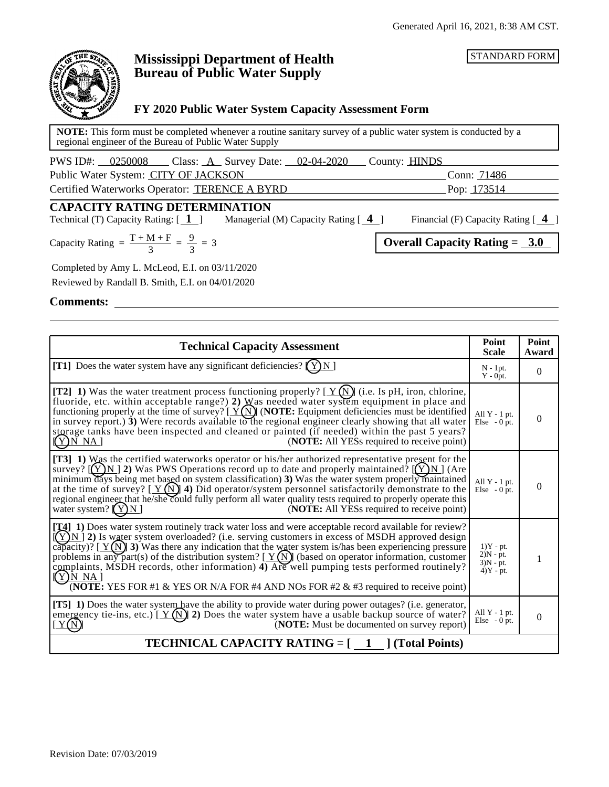STANDARD FORM



# **Mississippi Department of Health Bureau of Public Water Supply**

## **FY 2020 Public Water System Capacity Assessment Form**

**NOTE:** This form must be completed whenever a routine sanitary survey of a public water system is conducted by a regional engineer of the Bureau of Public Water Supply

| PWS ID#: 0250008<br>Class: $A$ Survey Date: $02-04-2020$ | County: <b>HINDS</b> |             |
|----------------------------------------------------------|----------------------|-------------|
| Public Water System: CITY OF JACKSON                     |                      | Conn: 71486 |
| Certified Waterworks Operator: TERENCE A BYRD            |                      | Pop: 173514 |

## **CAPACITY RATING DETERMINATION**

Technical (T) Capacity Rating: [ **1** ] Managerial (M) Capacity Rating [ **4** ] Financial (F) Capacity Rating [ **4** ]

9

Completed by Amy L. McLeod, E.I. on 03/11/2020 Reviewed by Randall B. Smith, E.I. on 04/01/2020

**Comments:**

| <b>Technical Capacity Assessment</b>                                                                                                                                                                                                                                                                                                                                                                                                                                                                                                                                                                                                                            |                                                          | Point<br>Award |
|-----------------------------------------------------------------------------------------------------------------------------------------------------------------------------------------------------------------------------------------------------------------------------------------------------------------------------------------------------------------------------------------------------------------------------------------------------------------------------------------------------------------------------------------------------------------------------------------------------------------------------------------------------------------|----------------------------------------------------------|----------------|
| [T1] Does the water system have any significant deficiencies? $(Y)N$ ]                                                                                                                                                                                                                                                                                                                                                                                                                                                                                                                                                                                          | $N - 1pt$ .<br>$Y - 0$ pt.                               | $\overline{0}$ |
| [T2] 1) Was the water treatment process functioning properly? [ $Y(N)$ ] (i.e. Is pH, iron, chlorine,<br>fluoride, etc. within acceptable range?) 2) Was needed water system equipment in place and<br>functioning properly at the time of survey? $[\underline{Y(N)}]$ (NOTE: Equipment deficiencies must be identified<br>in survey report.) $3$ ) Were records available to the regional engineer clearly showing that all water<br>storage tanks have been inspected and cleaned or painted (if needed) within the past 5 years?<br>(NOTE: All YESs required to receive point)<br>$(Y)$ N NA]                                                               | All $Y - 1$ pt.<br>Else $-0$ pt.                         | $\theta$       |
| [T3] 1) Was the certified waterworks operator or his/her authorized representative present for the<br>survey? $[(Y)N]$ 2) Was PWS Operations record up to date and properly maintained? $[(Y)N]$ (Are<br>minimum days being met based on system classification) 3) Was the water system properly maintained<br>at the time of survey? $[\underline{Y(N)}]$ 4) Did operator/system personnel satisfactorily demonstrate to the<br>regional engineer that he/she could fully perform all water quality tests required to properly operate this<br>water system? $(Y)N$<br>( <b>NOTE:</b> All YESs required to receive point)                                      | All $Y - 1$ pt.<br>Else $-0$ pt.                         | $\theta$       |
| [ <b>14]</b> 1) Does water system routinely track water loss and were acceptable record available for review?<br>$[(Y)N]$ 2) Is water system overloaded? (i.e. serving customers in excess of MSDH approved design<br>capacity)? [ $Y(N)$ ] 3) Was there any indication that the water system is/has been experiencing pressure<br>problems in any part(s) of the distribution system? $[\underline{Y(N)}]$ (based on operator information, customer<br>complaints, MSDH records, other information) 4) Are well pumping tests performed routinely?<br><u>(Y)N NA j</u><br>(NOTE: YES FOR #1 & YES OR N/A FOR #4 AND NOs FOR #2 & #3 required to receive point) | $1)Y - pt.$<br>$2)N - pt.$<br>$3)N - pt.$<br>$4)Y - pt.$ | 1              |
| [T5] 1) Does the water system have the ability to provide water during power outages? (i.e. generator,<br>emergency tie-ins, etc.) [ $Y(N)$ ] 2) Does the water system have a usable backup source of water?<br>(NOTE: Must be documented on survey report)<br>Y(N)                                                                                                                                                                                                                                                                                                                                                                                             | All $Y - 1$ pt.<br>Else $-0$ pt.                         | $\overline{0}$ |
| <b>TECHNICAL CAPACITY RATING = <math>\begin{bmatrix} 1 \\ 1 \end{bmatrix}</math> (Total Points)</b>                                                                                                                                                                                                                                                                                                                                                                                                                                                                                                                                                             |                                                          |                |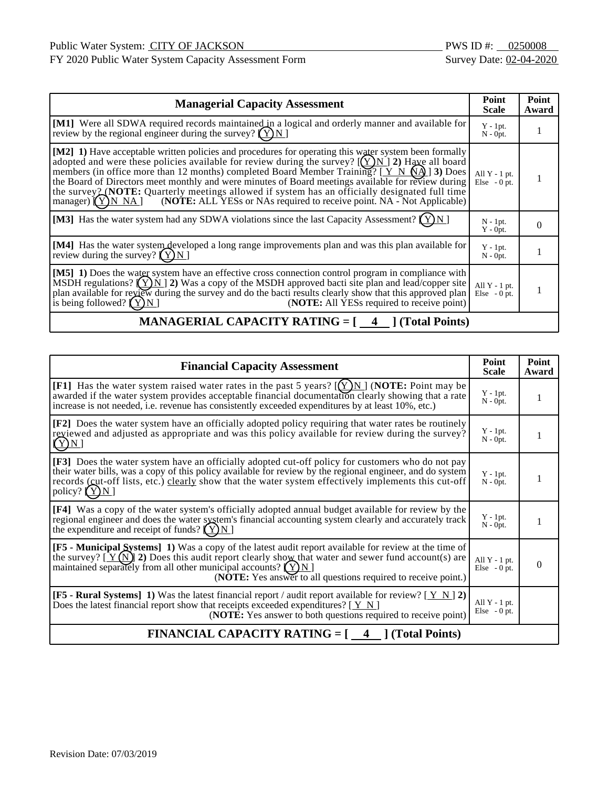FY 2020 Public Water System Capacity Assessment Form Survey Date: 02-04-2020

| <b>Managerial Capacity Assessment</b>                                                                                                                                                                                                                                                                                                                                                                                                                                                                                                                                                                                      |                                   | Point<br>Award |
|----------------------------------------------------------------------------------------------------------------------------------------------------------------------------------------------------------------------------------------------------------------------------------------------------------------------------------------------------------------------------------------------------------------------------------------------------------------------------------------------------------------------------------------------------------------------------------------------------------------------------|-----------------------------------|----------------|
| [M1] Were all SDWA required records maintained in a logical and orderly manner and available for<br>review by the regional engineer during the survey? $(Y)N$                                                                                                                                                                                                                                                                                                                                                                                                                                                              | $Y - 1pt.$<br>$N - 0pt$ .         |                |
| [M2] 1) Have acceptable written policies and procedures for operating this water system been formally<br>adopted and were these policies available for review during the survey? $[(Y)N]$ 2) Have all board<br>members (in office more than 12 months) completed Board Member Training? $[Y \ N \ N\ A]$ 3) Does<br>the Board of Directors meet monthly and were minutes of Board meetings available for review during<br>the survey 2 (NOTE: Quarterly meetings allowed if system has an officially designated full time<br>(NOTE: ALL YESs or NAs required to receive point. NA - Not Applicable)<br>manager) $(Y)$ N NA | All $Y - 1$ pt.<br>$Else - 0 pt.$ |                |
| [M3] Has the water system had any SDWA violations since the last Capacity Assessment?                                                                                                                                                                                                                                                                                                                                                                                                                                                                                                                                      | $N - 1pt$ .<br>$Y - Opt.$         | 0              |
| [M4] Has the water system developed a long range improvements plan and was this plan available for<br>review during the survey? $(Y)N$                                                                                                                                                                                                                                                                                                                                                                                                                                                                                     | $Y - 1pt.$<br>$N - 0pt.$          |                |
| [M5] 1) Does the water system have an effective cross connection control program in compliance with<br>MSDH regulations? $(Y)$ N 2) Was a copy of the MSDH approved bacti site plan and lead/copper site<br>plan available for review during the survey and do the bacti results clearly show that this approved plan<br>is being followed? $(Y)N$<br>( <b>NOTE:</b> All YESs required to receive point)                                                                                                                                                                                                                   | All $Y - 1$ pt.<br>$Else - 0 pt.$ |                |

# **MANAGERIAL CAPACITY RATING = [4 ] (Total Points)**

| <b>Financial Capacity Assessment</b>                                                                                                                                                                                                                                                                                                                      |                                   | Point<br>Award |
|-----------------------------------------------------------------------------------------------------------------------------------------------------------------------------------------------------------------------------------------------------------------------------------------------------------------------------------------------------------|-----------------------------------|----------------|
| [F1] Has the water system raised water rates in the past 5 years? $[(Y)N]$ (NOTE: Point may be<br>awarded if the water system provides acceptable financial documentation clearly showing that a rate<br>increase is not needed, i.e. revenue has consistently exceeded expenditures by at least 10%, etc.)                                               | $Y - 1pt.$<br>$N - 0pt$ .         | 1              |
| [F2] Does the water system have an officially adopted policy requiring that water rates be routinely<br>reviewed and adjusted as appropriate and was this policy available for review during the survey?<br>(Y)N                                                                                                                                          | $Y - 1pt.$<br>$N - 0pt$ .         |                |
| [F3] Does the water system have an officially adopted cut-off policy for customers who do not pay<br>their water bills, was a copy of this policy available for review by the regional engineer, and do system<br>records (cut-off lists, etc.) clearly show that the water system effectively implements this cut-off<br>policy? $(Y)N$                  | $Y - 1pt$ .<br>$N - 0pt$ .        | 1              |
| [F4] Was a copy of the water system's officially adopted annual budget available for review by the<br>regional engineer and does the water system's financial accounting system clearly and accurately track<br>the expenditure and receipt of funds? $(Y)N$                                                                                              | $Y - 1pt.$<br>$N - 0pt.$          | 1              |
| [F5 - Municipal Systems] 1) Was a copy of the latest audit report available for review at the time of<br>the survey? $[\Upsilon(N)]$ 2) Does this audit report clearly show that water and sewer fund account(s) are<br>maintained separately from all other municipal accounts? $(Y)N$<br>(NOTE: Yes answer to all questions required to receive point.) | All $Y - 1$ pt.<br>Else $-0$ pt.  | $\Omega$       |
| <b>[F5 - Rural Systems]</b> 1) Was the latest financial report / audit report available for review? $(Y \ N   2)$<br>Does the latest financial report show that receipts exceeded expenditures? $[\underline{Y} \underline{N}]$<br>( <b>NOTE:</b> Yes answer to both questions required to receive point)                                                 | All $Y - 1$ pt.<br>$Else - 0 pt.$ |                |
| <b>FINANCIAL CAPACITY RATING = <math>\begin{bmatrix} 4 \\ 1 \end{bmatrix}</math> (Total Points)</b>                                                                                                                                                                                                                                                       |                                   |                |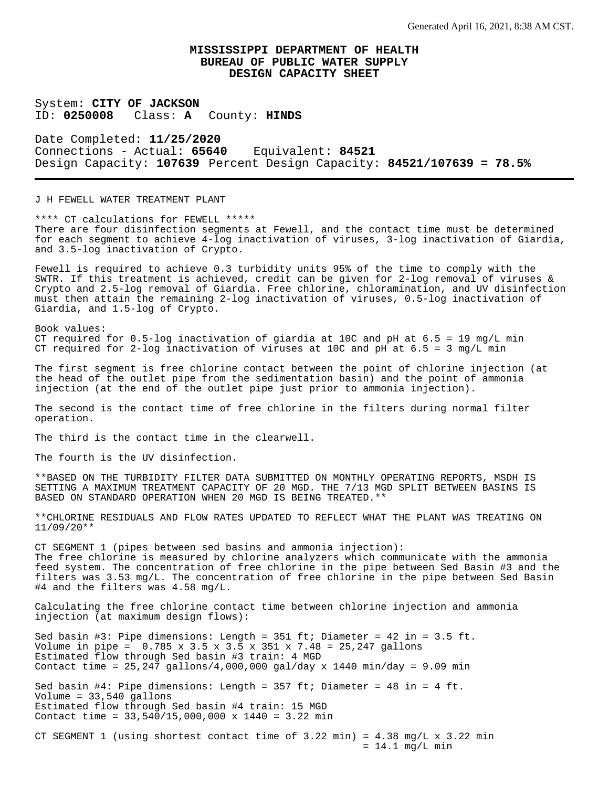System: **CITY OF JACKSON** ID: **0250008** Class: **A** County: **HINDS**

Date Completed: **11/25/2020** Connections - Actual: **65640** Equivalent: **84521** Design Capacity: **107639** Percent Design Capacity: **84521/107639 = 78.5%**

J H FEWELL WATER TREATMENT PLANT

\*\*\*\* CT calculations for FEWELL \*\*\*\*\* There are four disinfection segments at Fewell, and the contact time must be determined for each segment to achieve 4-log inactivation of viruses, 3-log inactivation of Giardia, and 3.5-log inactivation of Crypto.

Fewell is required to achieve 0.3 turbidity units 95% of the time to comply with the SWTR. If this treatment is achieved, credit can be given for 2-log removal of viruses & Crypto and 2.5-log removal of Giardia. Free chlorine, chloramination, and UV disinfection must then attain the remaining 2-log inactivation of viruses, 0.5-log inactivation of Giardia, and 1.5-log of Crypto.

Book values: CT required for  $0.5$ -log inactivation of giardia at 10C and pH at  $6.5 = 19$  mg/L min CT required for 2-log inactivation of viruses at 10C and pH at  $6.5 = 3$  mg/L min

The first segment is free chlorine contact between the point of chlorine injection (at the head of the outlet pipe from the sedimentation basin) and the point of ammonia injection (at the end of the outlet pipe just prior to ammonia injection).

The second is the contact time of free chlorine in the filters during normal filter operation.

The third is the contact time in the clearwell.

The fourth is the UV disinfection.

\*\*BASED ON THE TURBIDITY FILTER DATA SUBMITTED ON MONTHLY OPERATING REPORTS, MSDH IS SETTING A MAXIMUM TREATMENT CAPACITY OF 20 MGD. THE 7/13 MGD SPLIT BETWEEN BASINS IS BASED ON STANDARD OPERATION WHEN 20 MGD IS BEING TREATED.\*\*

\*\*CHLORINE RESIDUALS AND FLOW RATES UPDATED TO REFLECT WHAT THE PLANT WAS TREATING ON 11/09/20\*\*

CT SEGMENT 1 (pipes between sed basins and ammonia injection): The free chlorine is measured by chlorine analyzers which communicate with the ammonia feed system. The concentration of free chlorine in the pipe between Sed Basin #3 and the filters was 3.53 mg/L. The concentration of free chlorine in the pipe between Sed Basin #4 and the filters was 4.58 mg/L.

Calculating the free chlorine contact time between chlorine injection and ammonia injection (at maximum design flows):

Sed basin #3: Pipe dimensions: Length = 351 ft; Diameter = 42 in = 3.5 ft. Volume in pipe =  $0.785 \times 3.5 \times 3.5 \times 351 \times 7.48 = 25,247$  gallons Estimated flow through Sed basin #3 train: 4 MGD Contact time =  $25,247$  gallons/4,000,000 gal/day x 1440 min/day = 9.09 min Sed basin #4: Pipe dimensions: Length =  $357$  ft; Diameter =  $48$  in =  $4$  ft. Volume = 33,540 gallons Estimated flow through Sed basin #4 train: 15 MGD Contact time = 33,540/15,000,000 x 1440 = 3.22 min

CT SEGMENT 1 (using shortest contact time of  $3.22$  min) =  $4.38$  mg/L x  $3.22$  min  $= 14.1$  mg/L min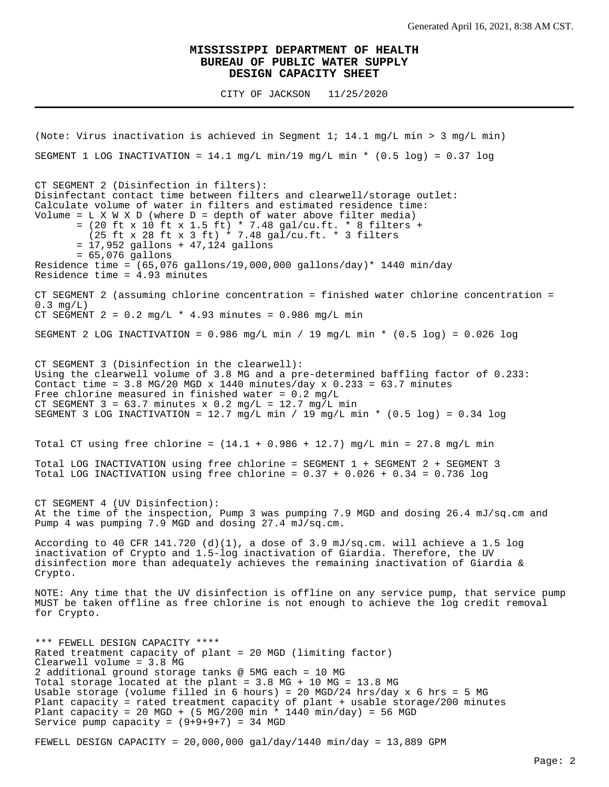CITY OF JACKSON 11/25/2020

(Note: Virus inactivation is achieved in Segment 1; 14.1 mg/L min > 3 mg/L min) SEGMENT 1 LOG INACTIVATION =  $14.1$  mg/L min/19 mg/L min \* (0.5 log) = 0.37 log CT SEGMENT 2 (Disinfection in filters): Disinfectant contact time between filters and clearwell/storage outlet: Calculate volume of water in filters and estimated residence time: Volume =  $L X W X D$  (where  $D =$  depth of water above filter media) = (20 ft x 10 ft x 1.5 ft) \* 7.48 gal/cu.ft. \* 8 filters + (25 ft x 28 ft x 3 ft) \* 7.48 gal/cu.ft. \* 3 filters = 17,952 gallons + 47,124 gallons = 65,076 gallons Residence time =  $(65,076 \text{ gallons}/19,000,000 \text{ gallons/day})* 1440 \text{ min/day}$ Residence time = 4.93 minutes CT SEGMENT 2 (assuming chlorine concentration = finished water chlorine concentration =  $0.3$  mg/L) CT SEGMENT  $2 = 0.2$  mg/L  $*$  4.93 minutes = 0.986 mg/L min SEGMENT 2 LOG INACTIVATION =  $0.986$  mg/L min / 19 mg/L min \*  $(0.5 \text{ log})$  =  $0.026$  log CT SEGMENT 3 (Disinfection in the clearwell): Using the clearwell volume of 3.8 MG and a pre-determined baffling factor of 0.233: Contact time =  $3.8$  MG/20 MGD x 1440 minutes/day x 0.233 =  $63.7$  minutes Free chlorine measured in finished water =  $0.2$  mg/L CT SEGMENT  $3 = 63.7$  minutes x 0.2 mg/L = 12.7 mg/L min SEGMENT 3 LOG INACTIVATION =  $12.7$  mg/L min / 19 mg/L min \* (0.5 log) = 0.34 log Total CT using free chlorine =  $(14.1 + 0.986 + 12.7)$  mg/L min = 27.8 mg/L min Total LOG INACTIVATION using free chlorine = SEGMENT 1 + SEGMENT 2 + SEGMENT 3 Total LOG INACTIVATION using free chlorine =  $0.37 + 0.026 + 0.34 = 0.736$  log CT SEGMENT 4 (UV Disinfection): At the time of the inspection, Pump 3 was pumping 7.9 MGD and dosing 26.4 mJ/sq.cm and Pump 4 was pumping 7.9 MGD and dosing 27.4 mJ/sq.cm. According to 40 CFR 141.720 (d)(1), a dose of 3.9 mJ/sq.cm. will achieve a 1.5 log inactivation of Crypto and 1.5-log inactivation of Giardia. Therefore, the UV disinfection more than adequately achieves the remaining inactivation of Giardia & Crypto. NOTE: Any time that the UV disinfection is offline on any service pump, that service pump MUST be taken offline as free chlorine is not enough to achieve the log credit removal for Crypto. \*\*\* FEWELL DESIGN CAPACITY \*\*\*\* Rated treatment capacity of plant = 20 MGD (limiting factor) Clearwell volume = 3.8 MG 2 additional ground storage tanks @ 5MG each = 10 MG Total storage located at the plant = 3.8 MG + 10 MG = 13.8 MG Usable storage (volume filled in 6 hours) = 20 MGD/24 hrs/day  $x$  6 hrs = 5 MG Plant capacity = rated treatment capacity of plant + usable storage/200 minutes Plant capacity = 20 MGD + (5 MG/200 min \* 1440 min/day) = 56 MGD Service pump capacity =  $(9+9+9+7)$  = 34 MGD

FEWELL DESIGN CAPACITY =  $20,000,000$  gal/day/1440 min/day = 13,889 GPM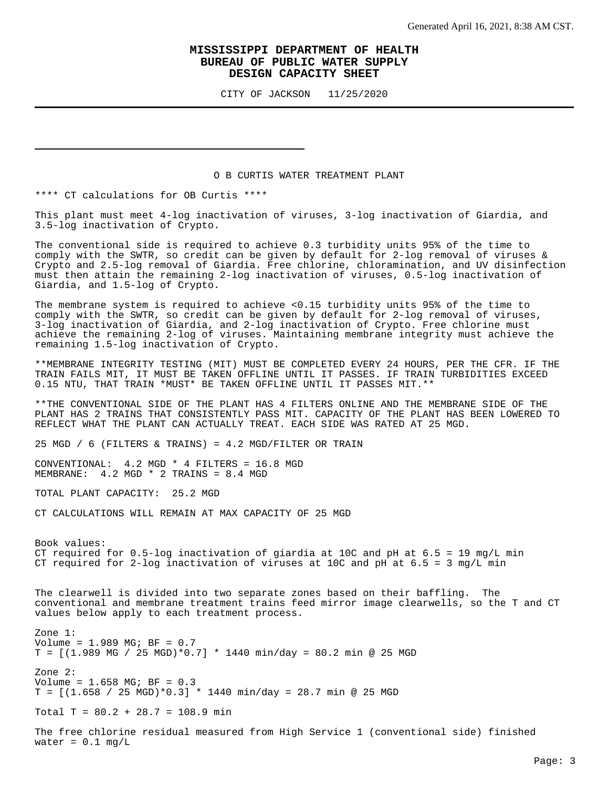CITY OF JACKSON 11/25/2020

#### O B CURTIS WATER TREATMENT PLANT

\*\*\*\* CT calculations for OB Curtis \*\*\*\*

This plant must meet 4-log inactivation of viruses, 3-log inactivation of Giardia, and 3.5-log inactivation of Crypto.

The conventional side is required to achieve 0.3 turbidity units 95% of the time to comply with the SWTR, so credit can be given by default for 2-log removal of viruses & Crypto and 2.5-log removal of Giardia. Free chlorine, chloramination, and UV disinfection must then attain the remaining 2-log inactivation of viruses, 0.5-log inactivation of Giardia, and 1.5-log of Crypto.

The membrane system is required to achieve <0.15 turbidity units 95% of the time to comply with the SWTR, so credit can be given by default for 2-log removal of viruses, 3-log inactivation of Giardia, and 2-log inactivation of Crypto. Free chlorine must achieve the remaining 2-log of viruses. Maintaining membrane integrity must achieve the remaining 1.5-log inactivation of Crypto.

\*\*MEMBRANE INTEGRITY TESTING (MIT) MUST BE COMPLETED EVERY 24 HOURS, PER THE CFR. IF THE TRAIN FAILS MIT, IT MUST BE TAKEN OFFLINE UNTIL IT PASSES. IF TRAIN TURBIDITIES EXCEED 0.15 NTU, THAT TRAIN \*MUST\* BE TAKEN OFFLINE UNTIL IT PASSES MIT.\*\*

\*\*THE CONVENTIONAL SIDE OF THE PLANT HAS 4 FILTERS ONLINE AND THE MEMBRANE SIDE OF THE PLANT HAS 2 TRAINS THAT CONSISTENTLY PASS MIT. CAPACITY OF THE PLANT HAS BEEN LOWERED TO REFLECT WHAT THE PLANT CAN ACTUALLY TREAT. EACH SIDE WAS RATED AT 25 MGD.

25 MGD / 6 (FILTERS & TRAINS) =  $4.2$  MGD/FILTER OR TRAIN

CONVENTIONAL: 4.2 MGD \* 4 FILTERS = 16.8 MGD MEMBRANE: 4.2 MGD \* 2 TRAINS = 8.4 MGD

TOTAL PLANT CAPACITY: 25.2 MGD

CT CALCULATIONS WILL REMAIN AT MAX CAPACITY OF 25 MGD

Book values: CT required for  $0.5$ -log inactivation of giardia at 10C and pH at  $6.5 = 19$  mg/L min CT required for 2-log inactivation of viruses at  $10C$  and pH at  $6.5 = 3$  mg/L min

The clearwell is divided into two separate zones based on their baffling. The conventional and membrane treatment trains feed mirror image clearwells, so the T and CT values below apply to each treatment process.

Zone 1: Volume = 1.989 MG; BF = 0.7  $T = [(1.989 \text{ MG} / 25 \text{ MGD})*0.7] * 1440 \text{ min/day} = 80.2 \text{ min}$  @ 25 MGD Zone 2: Volume = 1.658 MG; BF = 0.3  $T = [(1.658 / 25 MGD)*0.3] * 1440 m in/day = 28.7 m in @ 25 MGD$ 

Total T =  $80.2 + 28.7 = 108.9$  min

The free chlorine residual measured from High Service 1 (conventional side) finished water =  $0.1$  mg/L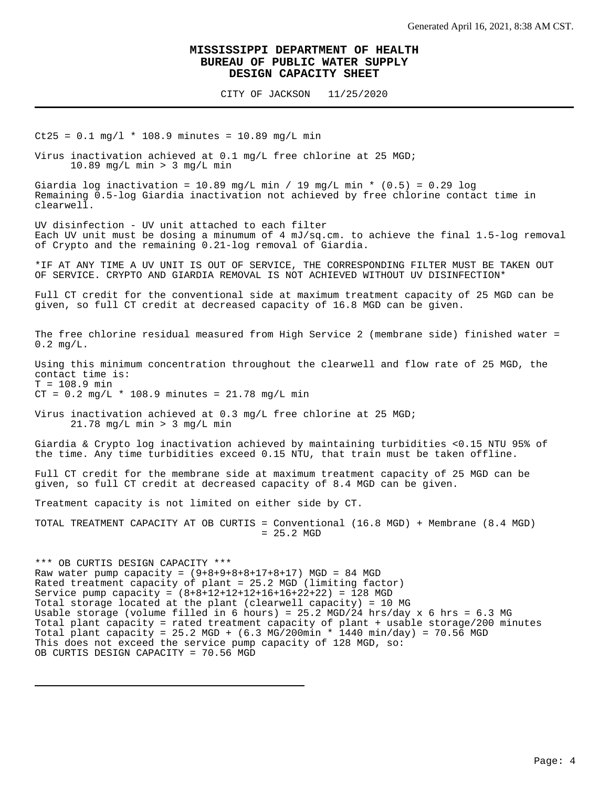CITY OF JACKSON 11/25/2020

 $Ct25 = 0.1$  mg/l \* 108.9 minutes = 10.89 mg/L min

Virus inactivation achieved at 0.1 mg/L free chlorine at 25 MGD; 10.89 mg/L min > 3 mg/L min

Giardia log inactivation = 10.89 mg/L min / 19 mg/L min \*  $(0.5)$  = 0.29 log Remaining 0.5-log Giardia inactivation not achieved by free chlorine contact time in clearwell.

UV disinfection - UV unit attached to each filter Each UV unit must be dosing a minumum of 4 mJ/sq.cm. to achieve the final 1.5-log removal of Crypto and the remaining 0.21-log removal of Giardia.

\*IF AT ANY TIME A UV UNIT IS OUT OF SERVICE, THE CORRESPONDING FILTER MUST BE TAKEN OUT OF SERVICE. CRYPTO AND GIARDIA REMOVAL IS NOT ACHIEVED WITHOUT UV DISINFECTION\*

Full CT credit for the conventional side at maximum treatment capacity of 25 MGD can be given, so full CT credit at decreased capacity of 16.8 MGD can be given.

The free chlorine residual measured from High Service 2 (membrane side) finished water = 0.2 mg/L.

Using this minimum concentration throughout the clearwell and flow rate of 25 MGD, the contact time is:  $T = 108.9$  min

 $CT = 0.2 mg/L * 108.9 minutes = 21.78 mg/L min$ 

Virus inactivation achieved at 0.3 mg/L free chlorine at 25 MGD; 21.78 mg/L min > 3 mg/L min

Giardia & Crypto log inactivation achieved by maintaining turbidities <0.15 NTU 95% of the time. Any time turbidities exceed 0.15 NTU, that train must be taken offline.

Full CT credit for the membrane side at maximum treatment capacity of 25 MGD can be given, so full CT credit at decreased capacity of 8.4 MGD can be given.

Treatment capacity is not limited on either side by CT.

TOTAL TREATMENT CAPACITY AT OB CURTIS = Conventional (16.8 MGD) + Membrane (8.4 MGD) = 25.2 MGD

\*\*\* OB CURTIS DESIGN CAPACITY \*\*\* Raw water pump capacity =  $(9+8+9+8+8+17+8+17)$  MGD = 84 MGD Rated treatment capacity of plant = 25.2 MGD (limiting factor) Service pump capacity =  $(8+8+12+12+12+16+16+22+22) = 128$  MGD Total storage located at the plant (clearwell capacity) = 10 MG Usable storage (volume filled in 6 hours) = 25.2 MGD/24 hrs/day x 6 hrs = 6.3 MG Total plant capacity = rated treatment capacity of plant + usable storage/200 minutes Total plant capacity = 25.2 MGD +  $(6.3 \text{ MG}/200 \text{min} * 1440 \text{ min}/\text{day}) = 70.56 \text{ MGD}$ This does not exceed the service pump capacity of 128 MGD, so: OB CURTIS DESIGN CAPACITY = 70.56 MGD